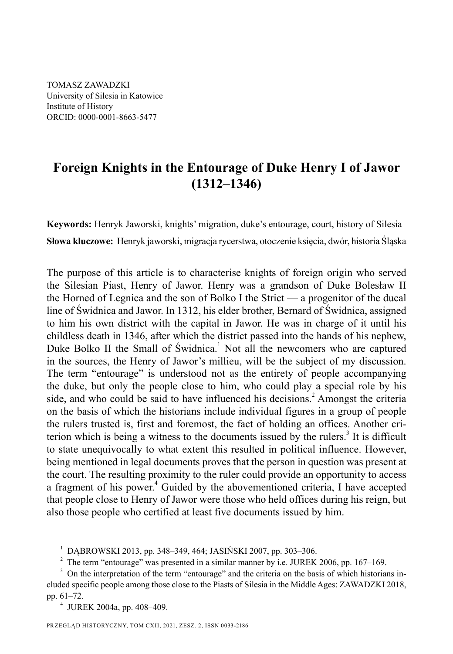TOMASZ ZAWADZKI University of Silesia in Katowice Institute of History ORCID: 0000-0001-8663-5477

# **Foreign Knights in the Entourage of Duke Henry I of Jawor (1312–1346)**

**Keywords:** Henryk Jaworski, knights' migration, duke's entourage, court, history of Silesia **Słowa kluczowe:** Henryk jaworski, migracja rycerstwa, otoczenie księcia, dwór, historia Śląska

The purpose of this article is to characterise knights of foreign origin who served the Silesian Piast, Henry of Jawor. Henry was a grandson of Duke Bolesław II the Horned of Legnica and the son of Bolko I the Strict — a progenitor of the ducal line of Świdnica and Jawor. In 1312, his elder brother, Bernard of Świdnica, assigned to him his own district with the capital in Jawor. He was in charge of it until his childless death in 1346, after which the district passed into the hands of his nephew, Duke Bolko II the Small of Świdnica.<sup>1</sup> Not all the newcomers who are captured in the sources, the Henry of Jawor's millieu, will be the subject of my discussion. The term "entourage" is understood not as the entirety of people accompanying the duke, but only the people close to him, who could play a special role by his side, and who could be said to have influenced his decisions.<sup>2</sup> Amongst the criteria on the basis of which the historians include individual figures in a group of people the rulers trusted is, first and foremost, the fact of holding an offices. Another criterion which is being a witness to the documents issued by the rulers.<sup>3</sup> It is difficult to state unequivocally to what extent this resulted in political influence. However, being mentioned in legal documents proves that the person in question was present at the court. The resulting proximity to the ruler could provide an opportunity to access a fragment of his power.<sup>4</sup> Guided by the abovementioned criteria, I have accepted that people close to Henry of Jawor were those who held offices during his reign, but also those people who certified at least five documents issued by him.

4 JUREK 2004a, pp. 408–409.

<sup>1</sup> DĄBROWSKI 2013, pp. 348–349, 464; JASIŃSKI 2007, pp. 303–306.

<sup>&</sup>lt;sup>2</sup> The term "entourage" was presented in a similar manner by i.e. JUREK 2006, pp. 167–169.

<sup>&</sup>lt;sup>3</sup> On the interpretation of the term "entourage" and the criteria on the basis of which historians included specific people among those close to the Piasts of Silesia in the Middle Ages: ZAWADZKI 2018, pp. 61–72.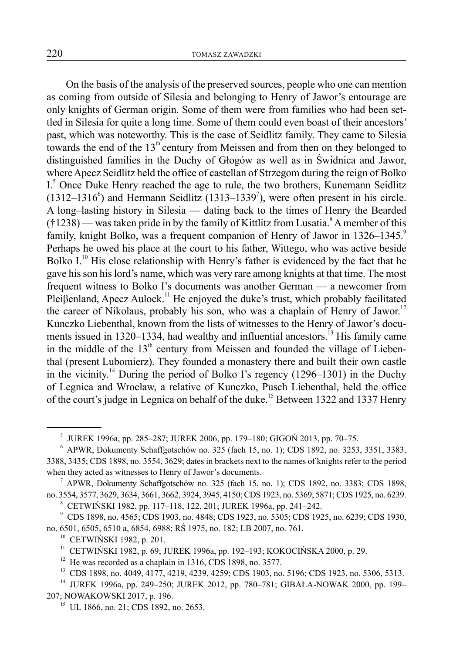On the basis of the analysis of the preserved sources, people who one can mention as coming from outside of Silesia and belonging to Henry of Jawor's entourage are only knights of German origin. Some of them were from families who had been settled in Silesia for quite a long time. Some of them could even boast of their ancestors' past, which was noteworthy. This is the case of Seidlitz family. They came to Silesia towards the end of the 13<sup>th</sup> century from Meissen and from then on they belonged to distinguished families in the Duchy of Głogów as well as in Świdnica and Jawor, where Apecz Seidlitz held the office of castellan of Strzegom during the reign of Bolko I.<sup>5</sup> Once Duke Henry reached the age to rule, the two brothers, Kunemann Seidlitz  $(1312-1316^6)$  and Hermann Seidlitz  $(1313-1339^7)$ , were often present in his circle. A long–lasting history in Silesia — dating back to the times of Henry the Bearded  $(\dagger 1238)$  — was taken pride in by the family of Kittlitz from Lusatia.<sup>8</sup> A member of this family, knight Bolko, was a frequent companion of Henry of Jawor in 1326–1345.<sup>9</sup> Perhaps he owed his place at the court to his father, Wittego, who was active beside Bolko  $I^{10}$  His close relationship with Henry's father is evidenced by the fact that he gave his son his lord's name, which was very rare among knights at that time. The most frequent witness to Bolko I's documents was another German — a newcomer from Pleißenland, Apecz Aulock.<sup>11</sup> He enjoyed the duke's trust, which probably facilitated the career of Nikolaus, probably his son, who was a chaplain of Henry of Jawor.<sup>12</sup> Kunczko Liebenthal, known from the lists of witnesses to the Henry of Jawor's documents issued in 1320–1334, had wealthy and influential ancestors.<sup>13</sup> His family came in the middle of the  $13<sup>th</sup>$  century from Meissen and founded the village of Liebenthal (present Lubomierz). They founded a monastery there and built their own castle in the vicinity.<sup>14</sup> During the period of Bolko I's regency  $(1296-1301)$  in the Duchy of Legnica and Wrocław, a relative of Kunczko, Pusch Liebenthal, held the office of the court's judge in Legnica on behalf of the duke.15 Between 1322 and 1337 Henry

<sup>5</sup> JUREK 1996a, pp. 285–287; JUREK 2006, pp. 179–180; GIGOŃ 2013, pp. 70–75.

<sup>6</sup> APWR, Dokumenty Schaffgotschów no. 325 (fach 15, no. 1); CDS 1892, no. 3253, 3351, 3383, 3388, 3435; CDS 1898, no. 3554, 3629; dates in brackets next to the names of knights refer to the period when they acted as witnesses to Henry of Jawor's documents.

<sup>7</sup> APWR, Dokumenty Schaffgotschów no. 325 (fach 15, no. 1); CDS 1892, no. 3383; CDS 1898, no. 3554, 3577, 3629, 3634, 3661, 3662, 3924, 3945, 4150; CDS 1923, no. 5369, 5871; CDS 1925, no. 6239.

<sup>8</sup> CETWIŃSKI 1982, pp. 117–118, 122, 201; JUREK 1996a, pp. 241–242.

<sup>9</sup> CDS 1898, no. 4565; CDS 1903, no. 4848; CDS 1923, no. 5305; CDS 1925, no. 6239; CDS 1930, no. 6501, 6505, 6510 a, 6854, 6988; RŚ 1975, no. 182; LB 2007, no. 761.

<sup>&</sup>lt;sup>10</sup> CETWIŃSKI 1982, p. 201.

<sup>&</sup>lt;sup>11</sup> CETWIŃSKI 1982, p. 69; JUREK 1996a, pp. 192-193; KOKOCIŃSKA 2000, p. 29.

<sup>&</sup>lt;sup>12</sup> He was recorded as a chaplain in 1316, CDS 1898, no. 3577.<br><sup>13</sup> CDS 1898, no. 4049, 4177, 4219, 4239, 4259, CDS 1903, no.

<sup>13</sup> CDS 1898, no. 4049, 4177, 4219, 4239, 4259; CDS 1903, no. 5196; CDS 1923, no. 5306, 5313.

<sup>&</sup>lt;sup>14</sup> JUREK 1996a, pp. 249-250; JUREK 2012, pp. 780-781; GIBAŁA-NOWAK 2000, pp. 199-207; NOWAKOWSKI 2017, p. 196.

<sup>&</sup>lt;sup>15</sup> UL 1866, no. 21; CDS 1892, no. 2653.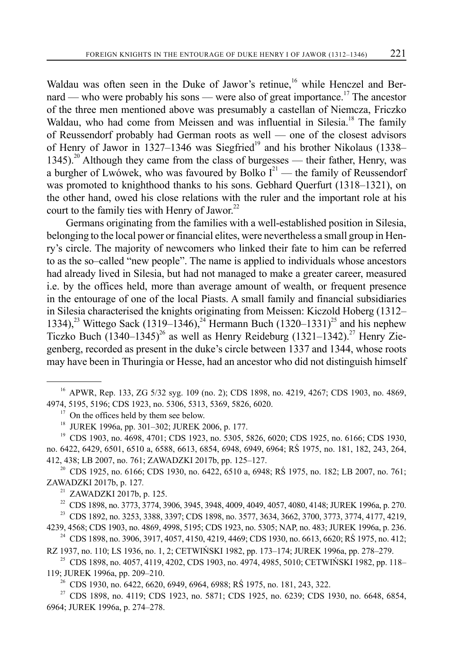Waldau was often seen in the Duke of Jawor's retinue,<sup>16</sup> while Henczel and Bernard — who were probably his sons — were also of great importance.<sup>17</sup> The ancestor of the three men mentioned above was presumably a castellan of Niemcza, Friczko Waldau, who had come from Meissen and was influential in Silesia.<sup>18</sup> The family of Reussendorf probably had German roots as well — one of the closest advisors of Henry of Jawor in 1327–1346 was Siegfried<sup>19</sup> and his brother Nikolaus (1338– 1345).<sup>20</sup> Although they came from the class of burgesses — their father, Henry, was a burgher of Lwówek, who was favoured by Bolko  $I^{21}$  — the family of Reussendorf was promoted to knighthood thanks to his sons. Gebhard Querfurt (1318–1321), on the other hand, owed his close relations with the ruler and the important role at his court to the family ties with Henry of Jawor. $^{22}$ 

Germans originating from the families with a well-established position in Silesia, belonging to the local power or financial elites, were nevertheless a small group in Henry's circle. The majority of newcomers who linked their fate to him can be referred to as the so–called "new people". The name is applied to individuals whose ancestors had already lived in Silesia, but had not managed to make a greater career, measured i.e. by the offices held, more than average amount of wealth, or frequent presence in the entourage of one of the local Piasts. A small family and financial subsidiaries in Silesia characterised the knights originating from Meissen: Kiczold Hoberg (1312– 1334),<sup>23</sup> Wittego Sack (1319–1346),<sup>24</sup> Hermann Buch (1320–1331)<sup>25</sup> and his nephew Ticzko Buch (1340–1345)<sup>26</sup> as well as Henry Reideburg (1321–1342).<sup>27</sup> Henry Ziegenberg, recorded as present in the duke's circle between 1337 and 1344, whose roots may have been in Thuringia or Hesse, had an ancestor who did not distinguish himself

<sup>19</sup> CDS 1903, no. 4698, 4701; CDS 1923, no. 5305, 5826, 6020; CDS 1925, no. 6166; CDS 1930, no. 6422, 6429, 6501, 6510 a, 6588, 6613, 6854, 6948, 6949, 6964; RŚ 1975, no. 181, 182, 243, 264, 412, 438; LB 2007, no. 761; ZAWADZKI 2017b, pp. 125–127.

<sup>20</sup> CDS 1925, no. 6166; CDS 1930, no. 6422, 6510 a, 6948; RS 1975, no. 182; LB 2007, no. 761; ZAWADZKI 2017b, p. 127*.*

<sup>21</sup> ZAWADZKI 2017b, p. 125.<br><sup>22</sup> CDS 1898, no. 3773, 3774, 3

22 CDS 1898, no. 3773, 3774, 3906, 3945, 3948, 4009, 4049, 4057, 4080, 4148; JUREK 1996a, p. 270.

<sup>23</sup> CDS 1892, no. 3253, 3388, 3397; CDS 1898, no. 3577, 3634, 3662, 3700, 3773, 3774, 4177, 4219, 4239, 4568; CDS 1903, no. 4869, 4998, 5195; CDS 1923, no. 5305; NAP, no. 483; JUREK 1996a, p. 236.

<sup>24</sup> CDS 1898, no. 3906, 3917, 4057, 4150, 4219, 4469; CDS 1930, no. 6613, 6620; RS 1975, no. 412; RZ 1937, no. 110; LS 1936, no. 1, 2; CETWIŃSKI 1982, pp. 173–174; JUREK 1996a, pp. 278–279.

<sup>25</sup> CDS 1898, no. 4057, 4119, 4202, CDS 1903, no. 4974, 4985, 5010; CETWIŃSKI 1982, pp. 118– 119; JUREK 1996a, pp. 209–210.

<sup>26</sup> CDS 1930, no. 6422, 6620, 6949, 6964, 6988; RS 1975, no. 181, 243, 322.

<sup>27</sup> CDS 1898, no. 4119; CDS 1923, no. 5871; CDS 1925, no. 6239; CDS 1930, no. 6648, 6854, 6964; JUREK 1996a, p. 274–278.

<sup>16</sup> APWR, Rep. 133, ZG 5/32 syg. 109 (no. 2); CDS 1898, no. 4219, 4267; CDS 1903, no. 4869, 4974, 5195, 5196; CDS 1923, no. 5306, 5313, 5369, 5826, 6020.

<sup>&</sup>lt;sup>17</sup> On the offices held by them see below.<br><sup>18</sup> HIREK 1996a pp. 301-302: HIREK 2

<sup>18</sup> JUREK 1996a, pp. 301–302; JUREK 2006, p. 177.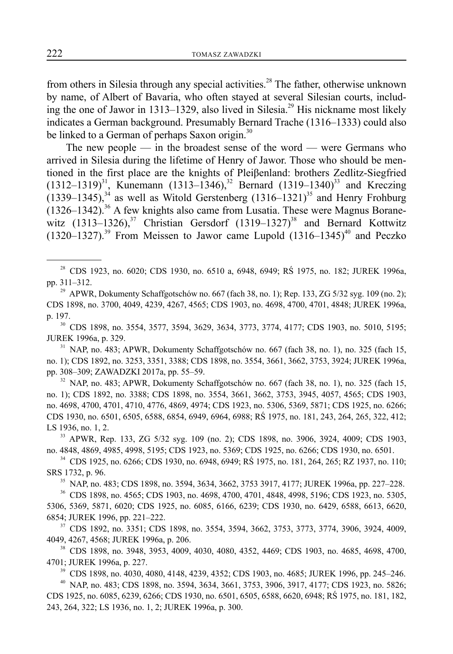from others in Silesia through any special activities.<sup>28</sup> The father, otherwise unknown by name, of Albert of Bavaria, who often stayed at several Silesian courts, including the one of Jawor in 1313–1329, also lived in Silesia.29 His nickname most likely indicates a German background. Presumably Bernard Trache (1316–1333) could also be linked to a German of perhaps Saxon origin. $30$ 

The new people  $-$  in the broadest sense of the word  $-$  were Germans who arrived in Silesia during the lifetime of Henry of Jawor. Those who should be mentioned in the first place are the knights of Pleiβenland: brothers Zedlitz-Siegfried  $(1312-1319)^{31}$ , Kunemann  $(1313-1346)^{32}$  Bernard  $(1319-1340)^{33}$  and Kreczing  $(1339-1345)$ ,<sup>34</sup> as well as Witold Gerstenberg  $(1316-1321)$ <sup>35</sup> and Henry Frohburg  $(1326-1342).$ <sup>36</sup> A few knights also came from Lusatia. These were Magnus Boranewitz  $(1313-1326)$ ,<sup>37</sup> Christian Gersdorf  $(1319-1327)$ <sup>38</sup> and Bernard Kottwitz  $(1320-1327)$ .<sup>39</sup> From Meissen to Jawor came Lupold  $(1316-1345)^{40}$  and Peczko

<sup>29</sup> APWR, Dokumenty Schaffgotschów no. 667 (fach 38, no. 1); Rep. 133, ZG 5/32 syg. 109 (no. 2); CDS 1898, no. 3700, 4049, 4239, 4267, 4565; CDS 1903, no. 4698, 4700, 4701, 4848; JUREK 1996a, p. 197.

<sup>30</sup> CDS 1898, no. 3554, 3577, 3594, 3629, 3634, 3773, 3774, 4177; CDS 1903, no. 5010, 5195; JUREK 1996a, p. 329.

 $31$  NAP, no. 483; APWR, Dokumenty Schaffgotschów no. 667 (fach 38, no. 1), no. 325 (fach 15, no. 1); CDS 1892, no. 3253, 3351, 3388; CDS 1898, no. 3554, 3661, 3662, 3753, 3924; JUREK 1996a, pp. 308–309; ZAWADZKI 2017a, pp. 55–59.

 $32$  NAP, no. 483; APWR, Dokumenty Schaffgotschów no. 667 (fach 38, no. 1), no. 325 (fach 15, no. 1); CDS 1892, no. 3388; CDS 1898, no. 3554, 3661, 3662, 3753, 3945, 4057, 4565; CDS 1903, no. 4698, 4700, 4701, 4710, 4776, 4869, 4974; CDS 1923, no. 5306, 5369, 5871; CDS 1925, no. 6266; CDS 1930, no. 6501, 6505, 6588, 6854, 6949, 6964, 6988; RŚ 1975, no. 181, 243, 264, 265, 322, 412; LS 1936, no. 1, 2.

33 APWR, Rep. 133, ZG 5/32 syg. 109 (no. 2); CDS 1898, no. 3906, 3924, 4009; CDS 1903, no. 4848, 4869, 4985, 4998, 5195; CDS 1923, no. 5369; CDS 1925, no. 6266; CDS 1930, no. 6501.

34 CDS 1925, no. 6266; CDS 1930, no. 6948, 6949; RŚ 1975, no. 181, 264, 265; RZ 1937, no. 110; SRS 1732, p. 96.

<sup>35</sup> NAP, no. 483; CDS 1898, no. 3594, 3634, 3662, 3753 3917, 4177; JUREK 1996a, pp. 227–228.<br><sup>36</sup> CDS 1898, no. 4565; CDS 1903, no. 4698, 4700, 4701, 4848, 4998, 5196; CDS 1923, no. 5305.

36 CDS 1898, no. 4565; CDS 1903, no. 4698, 4700, 4701, 4848, 4998, 5196; CDS 1923, no. 5305, 5306, 5369, 5871, 6020; CDS 1925, no. 6085, 6166, 6239; CDS 1930, no. 6429, 6588, 6613, 6620, 6854; JUREK 1996, pp. 221–222.

37 CDS 1892, no. 3351; CDS 1898, no. 3554, 3594, 3662, 3753, 3773, 3774, 3906, 3924, 4009, 4049, 4267, 4568; JUREK 1996a, p. 206.

38 CDS 1898, no. 3948, 3953, 4009, 4030, 4080, 4352, 4469; CDS 1903, no. 4685, 4698, 4700, 4701; JUREK 1996a, p. 227.

39 CDS 1898, no. 4030, 4080, 4148, 4239, 4352; CDS 1903, no. 4685; JUREK 1996, pp. 245–246.

40 NAP, no. 483; CDS 1898, no. 3594, 3634, 3661, 3753, 3906, 3917, 4177; CDS 1923, no. 5826; CDS 1925, no. 6085, 6239, 6266; CDS 1930, no. 6501, 6505, 6588, 6620, 6948; RŚ 1975, no. 181, 182, 243, 264, 322; LS 1936, no. 1, 2; JUREK 1996a, p. 300.

<sup>&</sup>lt;sup>28</sup> CDS 1923, no. 6020; CDS 1930, no. 6510 a, 6948, 6949; RS 1975, no. 182; JUREK 1996a, pp. 311–312.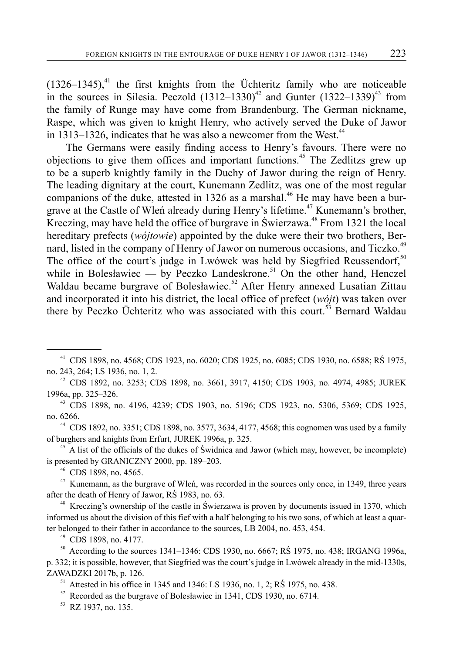$(1326-1345)$ ,<sup>41</sup> the first knights from the Üchteritz family who are noticeable in the sources in Silesia. Peczold  $(1312-1330)^{42}$  and Gunter  $(1322-1339)^{43}$  from the family of Runge may have come from Brandenburg. The German nickname, Raspe, which was given to knight Henry, who actively served the Duke of Jawor in  $1313-1326$ , indicates that he was also a newcomer from the West.<sup>44</sup>

The Germans were easily finding access to Henry's favours. There were no objections to give them offices and important functions.45 The Zedlitzs grew up to be a superb knightly family in the Duchy of Jawor during the reign of Henry. The leading dignitary at the court, Kunemann Zedlitz, was one of the most regular companions of the duke, attested in 1326 as a marshal.<sup>46</sup> He may have been a burgrave at the Castle of Wleń already during Henry's lifetime.<sup>47</sup> Kunemann's brother, Kreczing, may have held the office of burgrave in Świerzawa.<sup>48</sup> From 1321 the local hereditary prefects (*wójtowie*) appointed by the duke were their two brothers, Bernard, listed in the company of Henry of Jawor on numerous occasions, and Ticzko.<sup>49</sup> The office of the court's judge in Lwówek was held by Siegfried Reussendorf, $50$ while in Bolesławiec — by Peczko Landeskrone.<sup>51</sup> On the other hand, Henczel Waldau became burgrave of Bolesławiec.<sup>52</sup> After Henry annexed Lusatian Zittau and incorporated it into his district, the local office of prefect (*wójt*) was taken over there by Peczko Üchteritz who was associated with this court.<sup>53</sup> Bernard Waldau

42 CDS 1892, no. 3253; CDS 1898, no. 3661, 3917, 4150; CDS 1903, no. 4974, 4985; JUREK 1996a, pp. 325–326.

43 CDS 1898, no. 4196, 4239; CDS 1903, no. 5196; CDS 1923, no. 5306, 5369; CDS 1925, no. 6266.

44 CDS 1892, no. 3351; CDS 1898, no. 3577, 3634, 4177, 4568; this cognomen was used by a family of burghers and knights from Erfurt, JUREK 1996a, p. 325.

 $45$  A list of the officials of the dukes of Świdnica and Jawor (which may, however, be incomplete) is presented by GRANICZNY 2000, pp. 189–203.

46 CDS 1898, no. 4565.

 $47$  Kunemann, as the burgrave of Wleń, was recorded in the sources only once, in 1349, three years after the death of Henry of Jawor, RŚ 1983, no. 63.

<sup>48</sup> Kreczing's ownership of the castle in Świerzawa is proven by documents issued in 1370, which informed us about the division of this fief with a half belonging to his two sons, of which at least a quarter belonged to their father in accordance to the sources, LB 2004, no. 453, 454.

49 CDS 1898, no. 4177.

<sup>50</sup> According to the sources 1341–1346: CDS 1930, no. 6667; RS 1975, no. 438; IRGANG 1996a, p. 332; it is possible, however, that Siegfried was the court's judge in Lwówek already in the mid-1330s, ZAWADZKI 2017b, p. 126.

<sup>41</sup> CDS 1898, no. 4568; CDS 1923, no. 6020; CDS 1925, no. 6085; CDS 1930, no. 6588; RŚ 1975, no. 243, 264; LS 1936, no. 1, 2.

<sup>&</sup>lt;sup>51</sup> Attested in his office in 1345 and 1346: LS 1936, no. 1, 2; RS 1975, no. 438.

 $52$  Recorded as the burgrave of Bolesławiec in 1341, CDS 1930, no. 6714.

<sup>53</sup> RZ 1937, no. 135.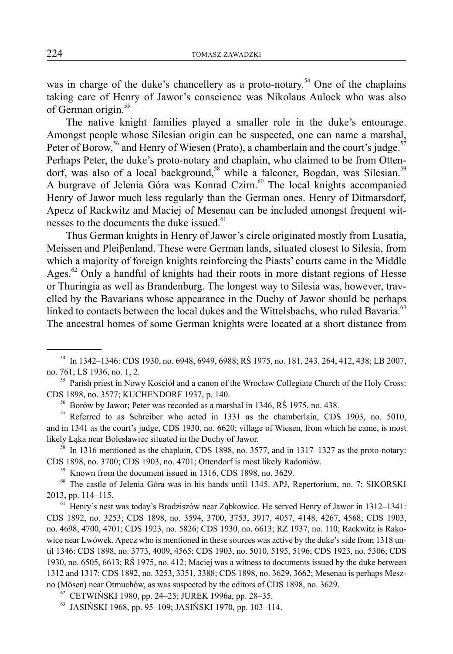was in charge of the duke's chancellery as a proto-notary.<sup>54</sup> One of the chaplains taking care of Henry of Jawor's conscience was Nikolaus Aulock who was also of German origin.<sup>55</sup>

The native knight families played a smaller role in the duke's entourage. Amongst people whose Silesian origin can be suspected, one can name a marshal, Peter of Borow,<sup>56</sup> and Henry of Wiesen (Prato), a chamberlain and the court's judge.<sup>57</sup> Perhaps Peter, the duke's proto-notary and chaplain, who claimed to be from Ottendorf, was also of a local background,<sup>58</sup> while a falconer, Bogdan, was Silesian.<sup>59</sup> A burgrave of Jelenia Góra was Konrad Czirn.<sup>60</sup> The local knights accompanied Henry of Jawor much less regularly than the German ones. Henry of Ditmarsdorf, Apecz of Rackwitz and Maciej of Mesenau can be included amongst frequent witnesses to the documents the duke issued.<sup>61</sup>

Thus German knights in Henry of Jawor's circle originated mostly from Lusatia, Meissen and Pleiβenland. These were German lands, situated closest to Silesia, from which a majority of foreign knights reinforcing the Piasts' courts came in the Middle Ages.<sup>62</sup> Only a handful of knights had their roots in more distant regions of Hesse or Thuringia as well as Brandenburg. The longest way to Silesia was, however, travelled by the Bavarians whose appearance in the Duchy of Jawor should be perhaps linked to contacts between the local dukes and the Wittelsbachs, who ruled Bavaria.<sup>63</sup> The ancestral homes of some German knights were located at a short distance from

 $57$  Referred to as Schreiber who acted in 1331 as the chamberlain, CDS 1903, no. 5010, and in 1341 as the court's judge, CDS 1930, no. 6620; village of Wiesen, from which he came, is most likely Łąka near Bolesławiec situated in the Duchy of Jawor.

<sup>58</sup> In 1316 mentioned as the chaplain, CDS 1898, no. 3577, and in 1317–1327 as the proto-notary: CDS 1898, no. 3700; CDS 1903, no. 4701; Ottendorf is most likely Radoniów. 59 Known from the document issued in 1316, CDS 1898, no. 3629.

60 The castle of Jelenia Góra was in his hands until 1345. APJ, Repertorium, no. 7; SIKORSKI 2013, pp. 114–115.

 $61$  Henry's nest was today's Brodziszów near Zabkowice. He served Henry of Jawor in 1312–1341: CDS 1892, no. 3253; CDS 1898, no. 3594, 3700, 3753, 3917, 4057, 4148, 4267, 4568; CDS 1903, no. 4698, 4700, 4701; CDS 1923, no. 5826; CDS 1930, no. 6613; RZ 1937, no. 110; Rackwitz is Rakowice near Lwówek. Apecz who is mentioned in these sources was active by the duke's side from 1318 until 1346: CDS 1898, no. 3773, 4009, 4565; CDS 1903, no. 5010, 5195, 5196; CDS 1923, no. 5306; CDS 1930, no. 6505, 6613; RŚ 1975, no. 412; Maciej was a witness to documents issued by the duke between 1312 and 1317: CDS 1892, no. 3253, 3351, 3388; CDS 1898, no. 3629, 3662; Mesenau is perhaps Meszno (Mösen) near Otmuchów, as was suspected by the editors of CDS 1898, no. 3629.

 $62$  CETWIŃSKI 1980, pp. 24–25; JUREK 1996a, pp. 28–35.

<sup>54</sup> In 1342–1346: CDS 1930, no. 6948, 6949, 6988; RŚ 1975, no. 181, 243, 264, 412, 438; LB 2007, no. 761; LS 1936, no. 1, 2.

<sup>&</sup>lt;sup>55</sup> Parish priest in Nowy Kościół and a canon of the Wrocław Collegiate Church of the Holy Cross: CDS 1898, no. 3577; KUCHENDORF 1937, p. 140.

<sup>56</sup> Borów by Jawor; Peter was recorded as a marshal in 1346, RŚ 1975, no. 438.

<sup>63</sup> JASIŃSKI 1968, pp. 95–109; JASIŃSKI 1970, pp. 103–114.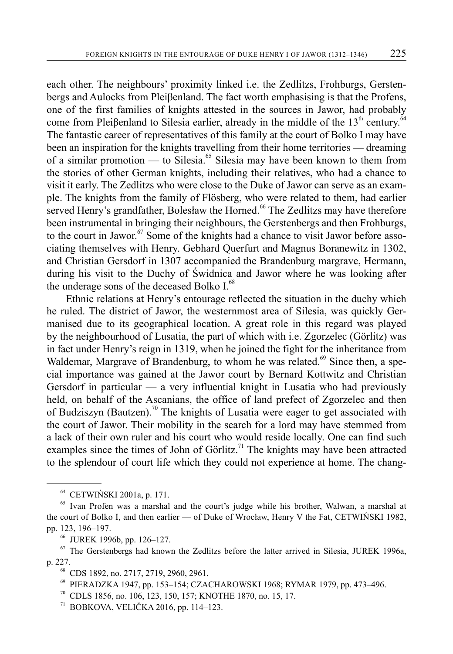each other. The neighbours' proximity linked i.e. the Zedlitzs, Frohburgs, Gerstenbergs and Aulocks from Pleiβenland. The fact worth emphasising is that the Profens, one of the first families of knights attested in the sources in Jawor, had probably come from Pleiβenland to Silesia earlier, already in the middle of the  $13<sup>th</sup>$  century.<sup>64</sup> The fantastic career of representatives of this family at the court of Bolko I may have been an inspiration for the knights travelling from their home territories — dreaming of a similar promotion — to Silesia.<sup>65</sup> Silesia may have been known to them from the stories of other German knights, including their relatives, who had a chance to visit it early. The Zedlitzs who were close to the Duke of Jawor can serve as an example. The knights from the family of Flösberg, who were related to them, had earlier served Henry's grandfather, Bolesław the Horned.<sup>66</sup> The Zedlitzs may have therefore been instrumental in bringing their neighbours, the Gerstenbergs and then Frohburgs, to the court in Jawor. $67$  Some of the knights had a chance to visit Jawor before associating themselves with Henry. Gebhard Querfurt and Magnus Boranewitz in 1302, and Christian Gersdorf in 1307 accompanied the Brandenburg margrave, Hermann, during his visit to the Duchy of Świdnica and Jawor where he was looking after the underage sons of the deceased Bolko I.<sup>68</sup>

Ethnic relations at Henry's entourage reflected the situation in the duchy which he ruled. The district of Jawor, the westernmost area of Silesia, was quickly Germanised due to its geographical location. A great role in this regard was played by the neighbourhood of Lusatia, the part of which with i.e. Zgorzelec (Görlitz) was in fact under Henry's reign in 1319, when he joined the fight for the inheritance from Waldemar, Margrave of Brandenburg, to whom he was related.<sup>69</sup> Since then, a special importance was gained at the Jawor court by Bernard Kottwitz and Christian Gersdorf in particular — a very influential knight in Lusatia who had previously held, on behalf of the Ascanians, the office of land prefect of Zgorzelec and then of Budziszyn (Bautzen).<sup>70</sup> The knights of Lusatia were eager to get associated with the court of Jawor. Their mobility in the search for a lord may have stemmed from a lack of their own ruler and his court who would reside locally. One can find such examples since the times of John of Görlitz.<sup>71</sup> The knights may have been attracted to the splendour of court life which they could not experience at home. The chang-

<sup>64</sup> CETWIŃSKI 2001a, p. 171.

<sup>65</sup> Ivan Profen was a marshal and the court's judge while his brother, Walwan, a marshal at the court of Bolko I, and then earlier — of Duke of Wrocław, Henry V the Fat, CETWIŃSKI 1982, pp. 123, 196–197.

<sup>66</sup> JUREK 1996b, pp. 126–127.

 $67$  The Gerstenbergs had known the Zedlitzs before the latter arrived in Silesia, JUREK 1996a, p. 227.

<sup>68</sup> CDS 1892, no. 2717, 2719, 2960, 2961.

<sup>69</sup> PIERADZKA 1947, pp. 153–154; CZACHAROWSKI 1968; RYMAR 1979, pp. 473–496.

 $70$  CDLS 1856, no. 106, 123, 150, 157; KNOTHE 1870, no. 15, 17.

 $71$  BOBKOVA, VELIČKA 2016, pp. 114–123.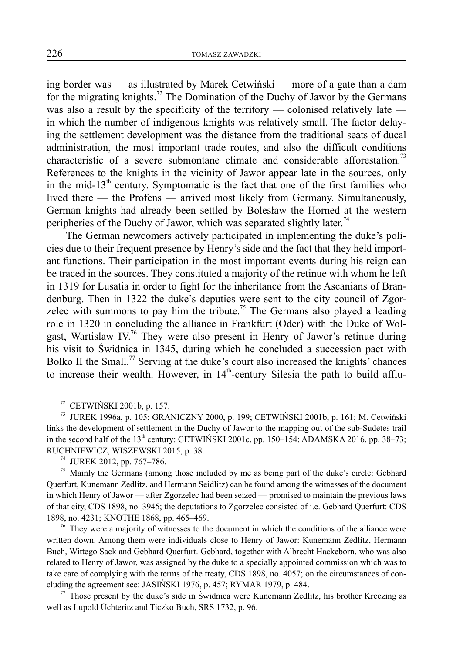ing border was — as illustrated by Marek Cetwiński — more of a gate than a dam for the migrating knights.<sup>72</sup> The Domination of the Duchy of Jawor by the Germans was also a result by the specificity of the territory — colonised relatively late in which the number of indigenous knights was relatively small. The factor delaying the settlement development was the distance from the traditional seats of ducal administration, the most important trade routes, and also the difficult conditions characteristic of a severe submontane climate and considerable afforestation.<sup>13</sup> References to the knights in the vicinity of Jawor appear late in the sources, only in the mid-13<sup>th</sup> century. Symptomatic is the fact that one of the first families who lived there — the Profens — arrived most likely from Germany. Simultaneously, German knights had already been settled by Bolesław the Horned at the western peripheries of the Duchy of Jawor, which was separated slightly later.<sup>74</sup>

The German newcomers actively participated in implementing the duke's policies due to their frequent presence by Henry's side and the fact that they held important functions. Their participation in the most important events during his reign can be traced in the sources. They constituted a majority of the retinue with whom he left in 1319 for Lusatia in order to fight for the inheritance from the Ascanians of Brandenburg. Then in 1322 the duke's deputies were sent to the city council of Zgorzelec with summons to pay him the tribute.<sup>75</sup> The Germans also played a leading role in 1320 in concluding the alliance in Frankfurt (Oder) with the Duke of Wolgast, Wartislaw IV.<sup>76</sup> They were also present in Henry of Jawor's retinue during his visit to Świdnica in 1345, during which he concluded a succession pact with Bolko II the Small.<sup>77</sup> Serving at the duke's court also increased the knights' chances to increase their wealth. However, in  $14<sup>th</sup>$ -century Silesia the path to build afflu-

 $76$  They were a majority of witnesses to the document in which the conditions of the alliance were written down. Among them were individuals close to Henry of Jawor: Kunemann Zedlitz, Hermann Buch, Wittego Sack and Gebhard Querfurt. Gebhard, together with Albrecht Hackeborn, who was also related to Henry of Jawor, was assigned by the duke to a specially appointed commission which was to take care of complying with the terms of the treaty, CDS 1898, no. 4057; on the circumstances of concluding the agreement see: JASIŃSKI 1976, p. 457; RYMAR 1979, p. 484.

 $\frac{77}{7}$  Those present by the duke's side in Świdnica were Kunemann Zedlitz, his brother Kreczing as well as Lupold Üchteritz and Ticzko Buch, SRS 1732, p. 96.

 $72$  CETWIŃSKI 2001b, p. 157.

<sup>73</sup> JUREK 1996a, p. 105; GRANICZNY 2000, p. 199; CETWIŃSKI 2001b, p. 161; M. Cetwiński links the development of settlement in the Duchy of Jawor to the mapping out of the sub-Sudetes trail in the second half of the  $13<sup>th</sup>$  century: CETWIŃSKI 2001c, pp. 150–154; ADAMSKA 2016, pp. 38–73; RUCHNIEWICZ, WISZEWSKI 2015, p. 38.

<sup>74</sup> JUREK 2012, pp. 767–786.

<sup>&</sup>lt;sup>75</sup> Mainly the Germans (among those included by me as being part of the duke's circle: Gebhard Querfurt, Kunemann Zedlitz, and Hermann Seidlitz) can be found among the witnesses of the document in which Henry of Jawor — after Zgorzelec had been seized — promised to maintain the previous laws of that city, CDS 1898, no. 3945; the deputations to Zgorzelec consisted of i.e. Gebhard Querfurt: CDS 1898, no. 4231; KNOTHE 1868, pp. 465–469.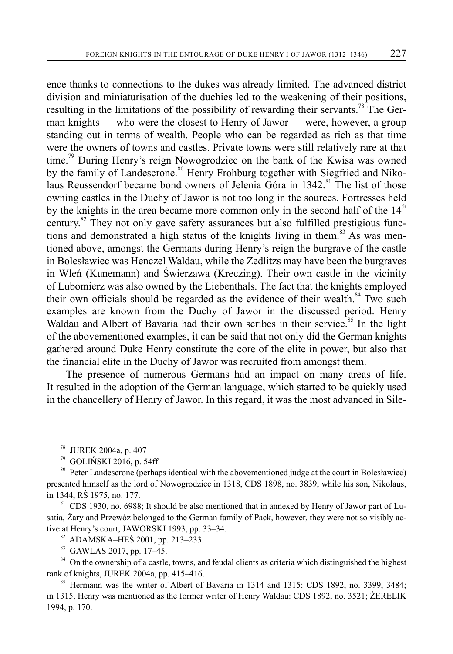ence thanks to connections to the dukes was already limited. The advanced district division and miniaturisation of the duchies led to the weakening of their positions, resulting in the limitations of the possibility of rewarding their servants.<sup>78</sup> The German knights — who were the closest to Henry of Jawor — were, however, a group standing out in terms of wealth. People who can be regarded as rich as that time were the owners of towns and castles. Private towns were still relatively rare at that time.<sup>79</sup> During Henry's reign Nowogrodziec on the bank of the Kwisa was owned by the family of Landescrone.<sup>80</sup> Henry Frohburg together with Siegfried and Nikolaus Reussendorf became bond owners of Jelenia Góra in 1342.<sup>81</sup> The list of those owning castles in the Duchy of Jawor is not too long in the sources. Fortresses held by the knights in the area became more common only in the second half of the  $14<sup>th</sup>$ century.<sup>82</sup> They not only gave safety assurances but also fulfilled prestigious functions and demonstrated a high status of the knights living in them.<sup>83</sup> As was mentioned above, amongst the Germans during Henry's reign the burgrave of the castle in Bolesławiec was Henczel Waldau, while the Zedlitzs may have been the burgraves in Wleń (Kunemann) and Świerzawa (Kreczing). Their own castle in the vicinity of Lubomierz was also owned by the Liebenthals. The fact that the knights employed their own officials should be regarded as the evidence of their wealth.<sup>84</sup> Two such examples are known from the Duchy of Jawor in the discussed period. Henry Waldau and Albert of Bavaria had their own scribes in their service.<sup>85</sup> In the light of the abovementioned examples, it can be said that not only did the German knights gathered around Duke Henry constitute the core of the elite in power, but also that the financial elite in the Duchy of Jawor was recruited from amongst them.

The presence of numerous Germans had an impact on many areas of life. It resulted in the adoption of the German language, which started to be quickly used in the chancellery of Henry of Jawor. In this regard, it was the most advanced in Sile-

<sup>81</sup> CDS 1930, no. 6988; It should be also mentioned that in annexed by Henry of Jawor part of Lusatia, Żary and Przewóz belonged to the German family of Pack, however, they were not so visibly active at Henry's court, JAWORSKI 1993, pp. 33–34.

82 ADAMSKA–HEŚ 2001, pp. 213–233.

83 GAWLAS 2017, pp. 17–45.

<sup>84</sup> On the ownership of a castle, towns, and feudal clients as criteria which distinguished the highest rank of knights, JUREK 2004a, pp. 415–416.

<sup>85</sup> Hermann was the writer of Albert of Bavaria in 1314 and 1315: CDS 1892, no. 3399, 3484; in 1315, Henry was mentioned as the former writer of Henry Waldau: CDS 1892, no. 3521; ŻERELIK 1994, p. 170.

<sup>&</sup>lt;sup>78</sup> JUREK 2004a, p. 407<br><sup>79</sup> GOLIŃSKI 2016, p. 5

GOLIŃSKI 2016, p. 54ff.

<sup>&</sup>lt;sup>80</sup> Peter Landescrone (perhaps identical with the abovementioned judge at the court in Bolesławiec) presented himself as the lord of Nowogrodziec in 1318, CDS 1898, no. 3839, while his son, Nikolaus, in 1344, RŚ 1975, no. 177.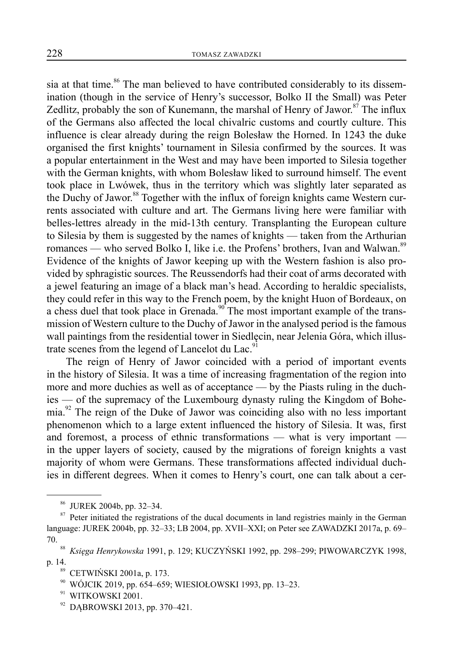sia at that time.<sup>86</sup> The man believed to have contributed considerably to its dissemination (though in the service of Henry's successor, Bolko II the Small) was Peter Zedlitz, probably the son of Kunemann, the marshal of Henry of Jawor.<sup>87</sup> The influx of the Germans also affected the local chivalric customs and courtly culture. This influence is clear already during the reign Bolesław the Horned. In 1243 the duke organised the first knights' tournament in Silesia confirmed by the sources. It was a popular entertainment in the West and may have been imported to Silesia together with the German knights, with whom Bolesław liked to surround himself. The event took place in Lwówek, thus in the territory which was slightly later separated as the Duchy of Jawor.<sup>88</sup> Together with the influx of foreign knights came Western currents associated with culture and art. The Germans living here were familiar with belles-lettres already in the mid-13th century. Transplanting the European culture to Silesia by them is suggested by the names of knights — taken from the Arthurian romances — who served Bolko I, like i.e. the Profens' brothers, Ivan and Walwan.<sup>89</sup> Evidence of the knights of Jawor keeping up with the Western fashion is also provided by sphragistic sources. The Reussendorfs had their coat of arms decorated with a jewel featuring an image of a black man's head. According to heraldic specialists, they could refer in this way to the French poem, by the knight Huon of Bordeaux, on a chess duel that took place in Grenada. $90$  The most important example of the transmission of Western culture to the Duchy of Jawor in the analysed period is the famous wall paintings from the residential tower in Siedlęcin, near Jelenia Góra, which illustrate scenes from the legend of Lancelot du Lac.<sup>91</sup>

The reign of Henry of Jawor coincided with a period of important events in the history of Silesia. It was a time of increasing fragmentation of the region into more and more duchies as well as of acceptance — by the Piasts ruling in the duchies — of the supremacy of the Luxembourg dynasty ruling the Kingdom of Bohemia.<sup>92</sup> The reign of the Duke of Jawor was coinciding also with no less important phenomenon which to a large extent influenced the history of Silesia. It was, first and foremost, a process of ethnic transformations — what is very important in the upper layers of society, caused by the migrations of foreign knights a vast majority of whom were Germans. These transformations affected individual duchies in different degrees. When it comes to Henry's court, one can talk about a cer-

DABROWSKI 2013, pp. 370–421.

<sup>86</sup> JUREK 2004b, pp. 32–34.

<sup>&</sup>lt;sup>87</sup> Peter initiated the registrations of the ducal documents in land registries mainly in the German language: JUREK 2004b, pp. 32–33; LB 2004, pp. XVII–XXI; on Peter see ZAWADZKI 2017a, p. 69– 70.

<sup>88</sup> *Księga Henrykowska* 1991, p. 129; KUCZYŃSKI 1992, pp. 298–299; PIWOWARCZYK 1998, p. 14.

CETWIŃSKI 2001a, p. 173.

<sup>90</sup> WÓJCIK 2019, pp. 654–659; WIESIOŁOWSKI 1993, pp. 13–23.

<sup>&</sup>lt;sup>91</sup> WITKOWSKI 2001.<br><sup>92</sup> DARROWSKI 2013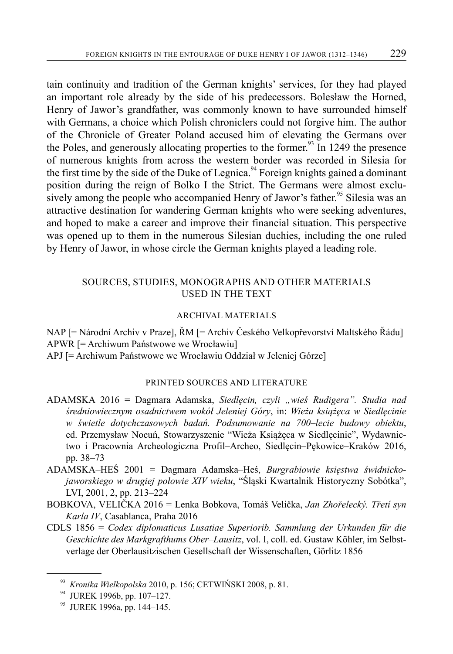tain continuity and tradition of the German knights' services, for they had played an important role already by the side of his predecessors. Bolesław the Horned, Henry of Jawor's grandfather, was commonly known to have surrounded himself with Germans, a choice which Polish chroniclers could not forgive him. The author of the Chronicle of Greater Poland accused him of elevating the Germans over the Poles, and generously allocating properties to the former.<sup>93</sup> In 1249 the presence of numerous knights from across the western border was recorded in Silesia for the first time by the side of the Duke of Legnica.<sup>94</sup> Foreign knights gained a dominant position during the reign of Bolko I the Strict. The Germans were almost exclusively among the people who accompanied Henry of Jawor's father.<sup>95</sup> Silesia was an attractive destination for wandering German knights who were seeking adventures, and hoped to make a career and improve their financial situation. This perspective was opened up to them in the numerous Silesian duchies, including the one ruled by Henry of Jawor, in whose circle the German knights played a leading role.

# SOURCES, STUDIES, MONOGRAPHS AND OTHER MATERIALS USED IN THE TEXT

#### ARCHIVAL MATERIALS

NAP [= Národní Archiv v Praze], ŘM [= Archiv Českého Velkopřevorství Maltského Řádu] APWR [= Archiwum Państwowe we Wrocławiu] APJ [= Archiwum Państwowe we Wrocławiu Oddział w Jeleniej Górze]

## PRINTED SOURCES AND LITERATURE

- ADAMSKA 2016 = Dagmara Adamska, *Siedlęcin, czyli "wieś Rudigera". Studia nad średniowiecznym osadnictwem wokół Jeleniej Góry*, in: *Wieża książęca w Siedlęcinie w świetle dotychczasowych badań. Podsumowanie na 700–lecie budowy obiektu*, ed. Przemysław Nocuń, Stowarzyszenie "Wieża Książęca w Siedlęcinie", Wydawnictwo i Pracownia Archeologiczna Profil–Archeo, Siedlęcin–Pękowice–Kraków 2016, pp. 38–73
- ADAMSKA–HEŚ 2001 = Dagmara Adamska–Heś, *Burgrabiowie księstwa świdnickojaworskiego w drugiej połowie XIV wieku*, "Śląski Kwartalnik Historyczny Sobótka", LVI, 2001, 2, pp. 213–224
- BOBKOVA, VELIČKA 2016 = Lenka Bobkova, Tomáš Velička, *Jan Zhořelecký. Třetí syn Karla IV*, Casablanca, Praha 2016
- CDLS 1856 = *Codex diplomaticus Lusatiae Superiorib. Sammlung der Urkunden für die Geschichte des Markgrafthums Ober–Lausitz*, vol. I, coll. ed. Gustaw Köhler, im Selbstverlage der Oberlausitzischen Gesellschaft der Wissenschaften, Görlitz 1856

<sup>93</sup> *Kronika Wielkopolska* 2010, p. 156; CETWIŃSKI 2008, p. 81.

<sup>94</sup> JUREK 1996b, pp. 107–127.

<sup>95</sup> JUREK 1996a, pp. 144–145.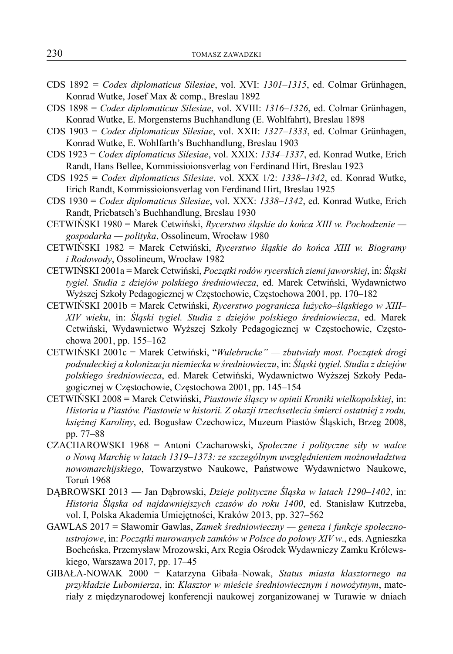- CDS 1892 *= Codex diplomaticus Silesiae*, vol. XVI: *1301–1315*, ed. Colmar Grünhagen, Konrad Wutke, Josef Max & comp., Breslau 1892
- CDS 1898 = *Codex diplomaticus Silesiae*, vol. XVIII: *1316–1326*, ed. Colmar Grünhagen, Konrad Wutke, E. Morgensterns Buchhandlung (E. Wohlfahrt), Breslau 1898
- CDS 1903 = *Codex diplomaticus Silesiae*, vol. XXII: *1327–1333*, ed. Colmar Grünhagen, Konrad Wutke, E. Wohlfarth's Buchhandlung, Breslau 1903
- CDS 1923 = *Codex diplomaticus Silesiae*, vol. XXIX: *1334–1337*, ed. Konrad Wutke, Erich Randt, Hans Bellee, Kommissioionsverlag von Ferdinand Hirt, Breslau 1923
- CDS 1925 = *Codex diplomaticus Silesiae*, vol. XXX 1/2: *1338–1342*, ed. Konrad Wutke, Erich Randt, Kommissioionsverlag von Ferdinand Hirt, Breslau 1925
- CDS 1930 = *Codex diplomaticus Silesiae*, vol. XXX: *1338–1342*, ed. Konrad Wutke, Erich Randt, Priebatsch's Buchhandlung, Breslau 1930
- CETWIŃSKI 1980 = Marek Cetwiński, *Rycerstwo śląskie do końca XIII w. Pochodzenie gospodarka — polityka*, Ossolineum, Wrocław 1980
- CETWIŃSKI 1982 = Marek Cetwiński, *Rycerstwo śląskie do końca XIII w. Biogramy i Rodowody*, Ossolineum, Wrocław 1982
- CETWIŃSKI 2001a = Marek Cetwiński, *Początki rodów rycerskich ziemi jaworskiej*, in: *Śląski tygiel. Studia z dziejów polskiego średniowiecza*, ed. Marek Cetwiński, Wydaw nictwo Wyższej Szkoły Pedagogicznej w Częstochowie, Częstochowa 2001, pp. 170–182
- CETWIŃSKI 2001b = Marek Cetwiński, *Rycerstwo pogranicza łużycko–śląskiego w XIII– XIV wieku*, in: *Śląski tygiel. Studia z dziejów polskiego średniowiecza*, ed. Marek Cetwiński, Wydawnictwo Wyższej Szkoły Pedagogicznej w Częstochowie, Częstochowa 2001, pp. 155–162
- CETWIŃSKI 2001c = Marek Cetwiński, "*Wulebrucke" zbutwiały most. Początek drogi podsudeckiej a kolonizacja niemiecka w średniowieczu*, in: *Śląski tygiel. Studia z dziejów polskiego średniowiecza*, ed. Marek Cetwiński, Wydawnictwo Wyższej Szkoły Pedagogicznej w Częstochowie, Częstochowa 2001, pp. 145–154
- CETWIŃSKI 2008 = Marek Cetwiński, *Piastowie śląscy w opinii Kroniki wielkopolskiej*, in: *Historia u Piastów. Piastowie w historii. Z okazji trzechsetlecia śmierci ostatniej z rodu, księżnej Karoliny*, ed. Bogusław Czechowicz, Muzeum Piastów Śląskich, Brzeg 2008, pp. 77–88
- CZACHAROWSKI 1968 = Antoni Czacharowski, *Społeczne i polityczne siły w walce o Nową Marchię w latach 1319–1373: ze szczególnym uwzględnieniem możnowładztwa nowomarchijskiego*, Towarzystwo Naukowe, Państwowe Wydawnictwo Naukowe, Toruń 1968
- DĄBROWSKI 2013 Jan Dąbrowski, *Dzieje polityczne Śląska w latach 1290–1402*, in: *Historia Śląska od najdawniejszych czasów do roku 1400*, ed. Stanisław Kutrzeba, vol. I, Polska Akademia Umiejętności, Kraków 2013, pp. 327–562
- GAWLAS 2017 = Sławomir Gawlas, *Zamek średniowieczny geneza i funkcje społecznoustrojowe*, in: *Początki murowanych zamków w Polsce do połowy XIV w*., eds. Agnieszka Bocheńska, Przemysław Mrozowski, Arx Regia Ośrodek Wydawniczy Zamku Królewskiego, Warszawa 2017, pp. 17–45
- GIBAŁA-NOWAK 2000 = Katarzyna Gibała–Nowak, *Status miasta klasztornego na przykładzie Lubomierza*, in: *Klasztor w mieście średniowiecznym i nowożytnym*, materiały z międzynarodowej konferencji naukowej zorganizowanej w Turawie w dniach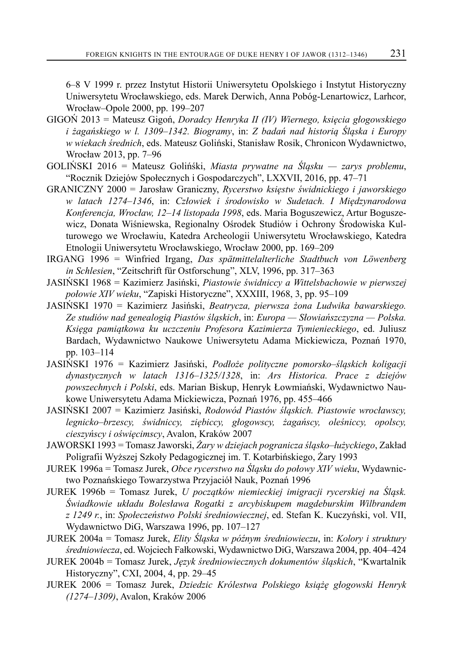6–8 V 1999 r. przez Instytut Historii Uniwersytetu Opolskiego i Instytut Historyczny Uniwersytetu Wrocławskiego, eds. Marek Derwich, Anna Pobóg-Lenartowicz, Larhcor, Wrocław–Opole 2000, pp. 199–207

- GIGOŃ 2013 = Mateusz Gigoń, *Doradcy Henryka II (IV) Wiernego, księcia głogowskiego i żagańskiego w l. 1309–1342. Biogramy*, in: *Z badań nad historią Śląska i Europy w wiekach średnich*, eds. Mateusz Goliński, Stanisław Rosik, Chronicon Wydawnictwo, Wrocław 2013, pp. 7–96
- GOLIŃSKI 2016 = Mateusz Golińśki, *Miasta prywatne na Śląsku zarys problemu*, "Rocznik Dziejów Społecznych i Gospodarczych", LXXVII, 2016, pp. 47–71
- GRANICZNY 2000 = Jarosław Graniczny, *Rycerstwo księstw świdnickiego i jaworskiego w latach 1274–1346*, in: *Człowiek i środowisko w Sudetach. I Międzynarodowa Konferencja, Wrocław, 12–14 listopada 1998*, eds. Maria Boguszewicz, Artur Boguszewicz, Donata Wiśniewska, Regionalny Ośrodek Studiów i Ochrony Środowiska Kulturowego we Wrocławiu, Katedra Archeologii Uniwersytetu Wrocławskiego, Katedra Etnologii Uniwersytetu Wrocławskiego, Wrocław 2000, pp. 169–209
- IRGANG 1996 = Winfried Irgang, *Das spätmittelalterliche Stadtbuch von Löwenberg in Schlesien*, "Zeitschrift für Ostforschung", XLV, 1996, pp. 317–363
- JASIŃSKI 1968 = Kazimierz Jasiński, *Piastowie świdniccy a Wittelsbachowie w pierwszej połowie XIV wieku*, "Zapiski Historyczne", XXXIII, 1968, 3, pp. 95–109
- JASIŃSKI 1970 = Kazimierz Jasiński, *Beatrycza, pierwsza żona Ludwika bawarskiego. Ze studiów nad genealogią Piastów śląskich*, in: *Europa — Słowiańszczyzna — Polska. Księga pamiątkowa ku uczczeniu Profesora Kazimierza Tymienieckiego*, ed. Juliusz Bardach, Wydawnictwo Naukowe Uniwersytetu Adama Mickiewicza, Poznań 1970, pp. 103–114
- JASIŃSKI 1976 = Kazimierz Jasiński, *Podłoże polityczne pomorsko–śląskich koligacji dynastycznych w latach 1316–1325/1328*, in: *Ars Historica. Prace z dziejów powszechnych i Polski*, eds. Marian Biskup, Henryk Łowmiański, Wydawnictwo Naukowe Uniwersytetu Adama Mickiewicza, Poznań 1976, pp. 455–466
- JASIŃSKI 2007 = Kazimierz Jasiński, *Rodowód Piastów śląskich. Piastowie wrocławscy, legnicko–brzescy, świdniccy, ziębiccy, głogowscy, żagańscy, oleśniccy, opolscy, cieszyńscy i oświęcimscy*, Avalon, Kraków 2007
- JAWORSKI 1993 = Tomasz Jaworski, *Żary w dziejach pogranicza śląsko–łużyckiego*, Zakład Poligrafii Wyższej Szkoły Pedagogicznej im. T. Kotarbińskiego, Żary 1993
- JUREK 1996a = Tomasz Jurek, *Obce rycerstwo na Śląsku do połowy XIV wieku*, Wydawnictwo Poznańskiego Towarzystwa Przyjaciół Nauk, Poznań 1996
- JUREK 1996b = Tomasz Jurek, *U początków niemieckiej imigracji rycerskiej na Śląsk. Świadkowie układu Bolesława Rogatki z arcybiskupem magdeburskim Wilbrandem z 1249 r.*, in: *Społeczeństwo Polski średniowiecznej*, ed. Stefan K. Kuczyński, vol. VII, Wydawnictwo DiG, Warszawa 1996, pp. 107–127
- JUREK 2004a = Tomasz Jurek, *Elity Śląska w późnym średniowieczu*, in: *Kolory i struktury średniowiecza*, ed. Wojciech Fałkowski, Wydawnictwo DiG, Warszawa 2004, pp. 404–424
- JUREK 2004b = Tomasz Jurek, *Język średniowiecznych dokumentów śląskich*, "Kwartalnik Historyczny", CXI, 2004, 4, pp. 29–45
- JUREK 2006 = Tomasz Jurek, *Dziedzic Królestwa Polskiego książę głogowski Henryk (1274–1309)*, Avalon, Kraków 2006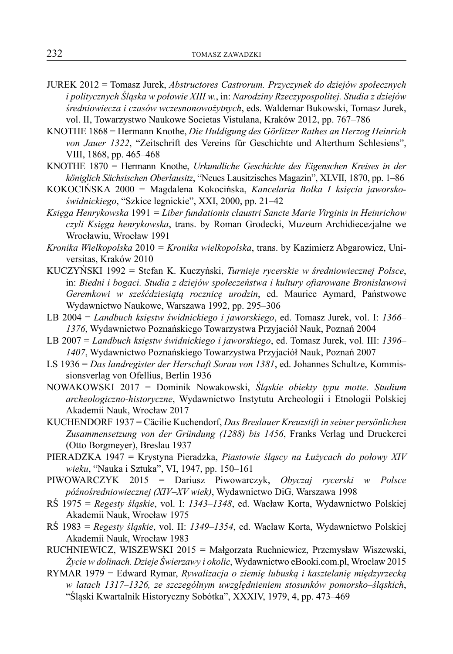- JUREK 2012 = Tomasz Jurek, *Abstructores Castrorum. Przyczynek do dziejów społecznych i politycznych Śląska w połowie XIII w.*, in: *Narodziny Rzeczypospolitej. Studia z dziejów średniowiecza i czasów wczesnonowożytnych*, eds. Waldemar Bukowski, Tomasz Jurek, vol. II, Towarzystwo Naukowe Societas Vistulana, Kraków 2012, pp. 767–786
- KNOTHE 1868 = Hermann Knothe, *Die Huldigung des Görlitzer Rathes an Herzog Heinrich von Jauer 1322*, "Zeitschrift des Vereins für Geschichte und Alterthum Schlesiens", VIII, 1868, pp. 465–468
- KNOTHE 1870 = Hermann Knothe, *Urkundliche Geschichte des Eigenschen Kreises in der königlich Sächsischen Oberlausitz*, "Neues Lausitzisches Magazin", XLVII, 1870, pp. 1–86
- KOKOCIŃSKA 2000 = Magdalena Kokocińska, *Kancelaria Bolka I księcia jaworskoświdnickiego*, "Szkice legnickie", XXI, 2000, pp. 21–42
- *Księga Henrykowska* 1991 *= Liber fundationis claustri Sancte Marie Virginis in Heinrichow czyli Księga henrykowska*, trans. by Roman Grodecki, Muzeum Archidiecezjalne we Wrocławiu, Wrocław 1991
- *Kronika Wielkopolska* 2010 *= Kronika wielkopolska*, trans. by Kazimierz Abgarowicz, Universitas, Kraków 2010
- KUCZYŃSKI 1992 = Stefan K. Kuczyński, *Turnieje rycerskie w średniowiecznej Polsce*, in: *Biedni i bogaci. Studia z dziejów społeczeństwa i kultury ofiarowane Bronisławowi Geremkowi w sześćdziesiątą rocznicę urodzin*, ed. Maurice Aymard, Państwowe Wydawnictwo Naukowe, Warszawa 1992, pp. 295–306
- LB 2004 = *Landbuch księstw świdnickiego i jaworskiego*, ed. Tomasz Jurek, vol. I: *1366– 1376*, Wydawnictwo Poznańskiego Towarzystwa Przyjaciół Nauk, Poznań 2004
- LB 2007 = *Landbuch księstw świdnickiego i jaworskiego*, ed. Tomasz Jurek, vol. III: *1396– 1407*, Wydawnictwo Poznańskiego Towarzystwa Przyjaciół Nauk, Poznań 2007
- LS 1936 = *Das landregister der Herschaft Sorau von 1381*, ed. Johannes Schultze, Kommissionsverlag von Ofellius, Berlin 1936
- NOWAKOWSKI 2017 = Dominik Nowakowski, *Śląskie obiekty typu motte. Studium archeologiczno-historyczne*, Wydawnictwo Instytutu Archeologii i Etnologii Polskiej Akademii Nauk, Wrocław 2017
- KUCHENDORF 1937 = Cäcilie Kuchendorf, *Das Breslauer Kreuzstift in seiner persönlichen Zusammensetzung von der Gründung (1288) bis 1456*, Franks Verlag und Druckerei (Otto Borgmeyer), Breslau 1937
- PIERADZKA 1947 = Krystyna Pieradzka, *Piastowie śląscy na Łużycach do połowy XIV wieku*, "Nauka i Sztuka", VI, 1947, pp. 150–161
- PIWOWARCZYK 2015 = Dariusz Piwowarczyk, *Obyczaj rycerski w Polsce późnośredniowiecznej (XIV–XV wiek)*, Wydawnictwo DiG, Warszawa 1998
- RŚ 1975 = *Regesty śląskie*, vol. I: *1343–1348*, ed. Wacław Korta, Wydawnictwo Polskiej Akademii Nauk, Wrocław 1975
- RŚ 1983 = *Regesty śląskie*, vol. II: *1349–1354*, ed. Wacław Korta, Wydawnictwo Polskiej Akademii Nauk, Wrocław 1983
- RUCHNIEWICZ, WISZEWSKI 2015 = Małgorzata Ruchniewicz, Przemysław Wiszewski, *Życie w dolinach. Dzieje Świerzawy i okolic*, Wydawnictwo eBooki.com.pl, Wrocław 2015
- RYMAR 1979 = Edward Rymar, *Rywalizacja o ziemię lubuską i kasztelanię międzyrzecką w latach 1317–1326, ze szczególnym uwzględnieniem stosunków pomorsko–śląskich*, "Śląski Kwartalnik Historyczny Sobótka", XXXIV, 1979, 4, pp. 473–469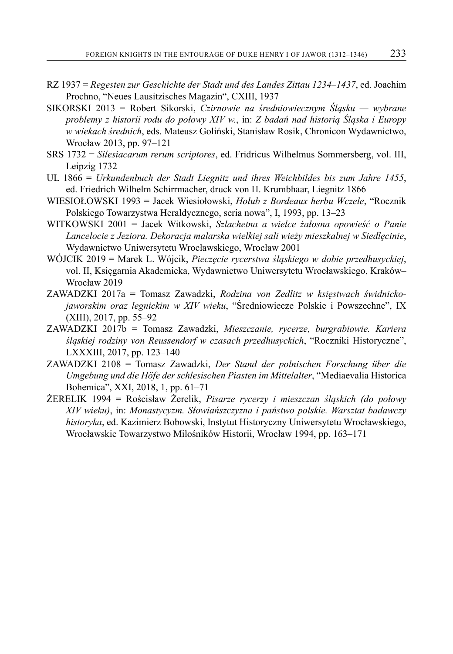- RZ 1937 = *Regesten zur Geschichte der Stadt und des Landes Zittau 1234–1437*, ed. Joachim Prochno, "Neues Lausitzisches Magazin", CXIII, 1937
- SIKORSKI 2013 = Robert Sikorski, *Czirnowie na średniowiecznym Śląsku wybrane problemy z historii rodu do połowy XIV w.*, in: *Z badań nad historią Śląska i Europy w wiekach średnich*, eds. Mateusz Goliński, Stanisław Rosik, Chronicon Wydawnictwo, Wrocław 2013, pp. 97–121
- SRS 1732 = *Silesiacarum rerum scriptores*, ed. Fridricus Wilhelmus Sommersberg, vol. III, Leipzig 1732
- UL 1866 = *Urkundenbuch der Stadt Liegnitz und ihres Weichbildes bis zum Jahre 1455*, ed. Friedrich Wilhelm Schirrmacher, druck von H. Krumbhaar, Liegnitz 1866
- WIESIOŁOWSKI 1993 = Jacek Wiesiołowski, *Hołub z Bordeaux herbu Wczele*, "Rocznik Polskiego Towarzystwa Heraldycznego, seria nowa", I, 1993, pp. 13–23
- WITKOWSKI 2001 = Jacek Witkowski, *Szlachetna a wielce żałosna opowieść o Panie Lancelocie z Jeziora. Dekoracja malarska wielkiej sali wieży mieszkalnej w Siedlęcinie*, Wydawnictwo Uniwersytetu Wrocławskiego, Wrocław 2001
- WÓJCIK 2019 = Marek L. Wójcik, *Pieczęcie rycerstwa śląskiego w dobie przedhusyckiej*, vol. II, Księgarnia Akademicka, Wydawnictwo Uniwersytetu Wrocławskiego, Kraków– Wrocław 2019
- ZAWADZKI 2017a = Tomasz Zawadzki, *Rodzina von Zedlitz w księstwach świdnickojaworskim oraz legnickim w XIV wieku*, "Średniowiecze Polskie i Powszechne", IX (XIII), 2017, pp. 55–92
- ZAWADZKI 2017b = Tomasz Zawadzki, *Mieszczanie, rycerze, burgrabiowie. Kariera śląskiej rodziny von Reussendorf w czasach przedhusyckich*, "Roczniki Historyczne", LXXXIII, 2017, pp. 123–140
- ZAWADZKI 2108 = Tomasz Zawadzki, *Der Stand der polnischen Forschung über die Umgebung und die Höfe der schlesischen Piasten im Mittelalter*, "Mediaevalia Historica Bohemica", XXI, 2018, 1, pp. 61–71
- ŻERELIK 1994 = Rościsław Żerelik, *Pisarze rycerzy i mieszczan śląskich (do połowy XIV wieku)*, in: *Monastycyzm. Słowiańszczyzna i państwo polskie. Warsztat badawczy historyka*, ed. Kazimierz Bobowski, Instytut Historyczny Uniwersytetu Wrocławskiego, Wrocławskie Towarzystwo Miłośników Historii, Wrocław 1994, pp. 163–171